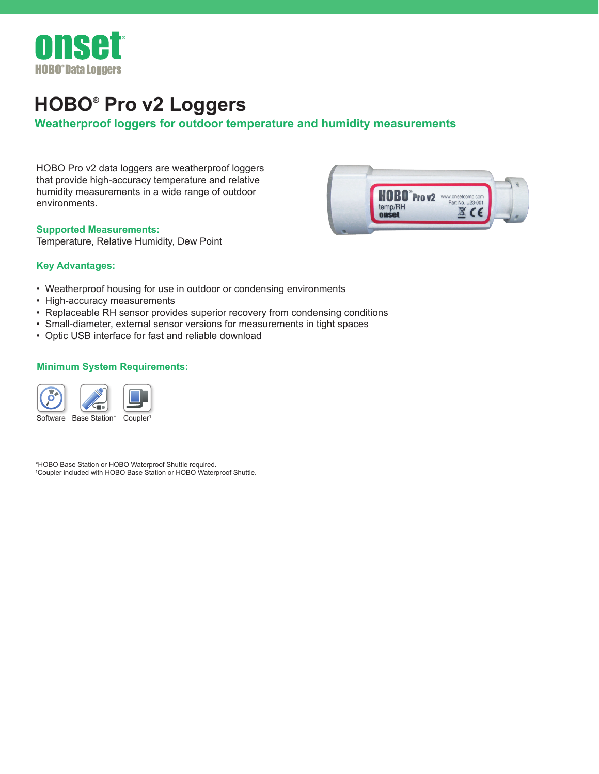

# **HOBO® Pro v2 Loggers**

## **Weatherproof loggers for outdoor temperature and humidity measurements**

HOBO Pro v2 data loggers are weatherproof loggers that provide high-accuracy temperature and relative humidity measurements in a wide range of outdoor environments.

#### **Supported Measurements:**

Temperature, Relative Humidity, Dew Point



#### **Key Advantages:**

- Weatherproof housing for use in outdoor or condensing environments
- High-accuracy measurements
- Replaceable RH sensor provides superior recovery from condensing conditions
- Small-diameter, external sensor versions for measurements in tight spaces
- Optic USB interface for fast and reliable download

#### **Minimum System Requirements:**



\*HOBO Base Station or HOBO Waterproof Shuttle required. 1 Coupler included with HOBO Base Station or HOBO Waterproof Shuttle.